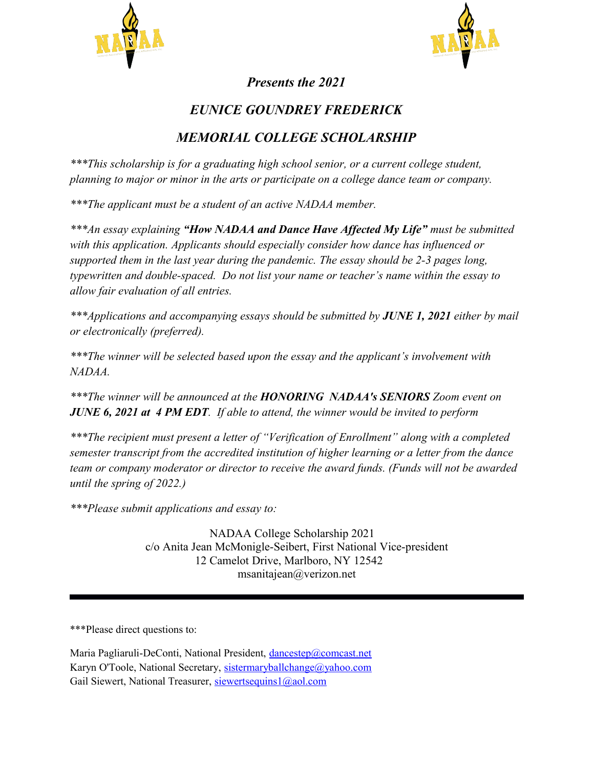



## *Presents the 2021*

## *EUNICE GOUNDREY FREDERICK*

## *MEMORIAL COLLEGE SCHOLARSHIP*

*\*\*\*This scholarship is for a graduating high school senior, or a current college student, planning to major or minor in the arts or participate on a college dance team or company.*

*\*\*\*The applicant must be a student of an active NADAA member.*

*\*\*\*An essay explaining "How NADAA and Dance Have Affected My Life" must be submitted with this application. Applicants should especially consider how dance has influenced or supported them in the last year during the pandemic. The essay should be 2-3 pages long, typewritten and double-spaced. Do not list your name or teacher's name within the essay to allow fair evaluation of all entries.*

*\*\*\*Applications and accompanying essays should be submitted by JUNE 1, 2021 either by mail or electronically (preferred).* 

*\*\*\*The winner will be selected based upon the essay and the applicant's involvement with NADAA.*

*\*\*\*The winner will be announced at the HONORING NADAA's SENIORS Zoom event on JUNE 6, 2021 at 4 PM EDT. If able to attend, the winner would be invited to perform* 

*\*\*\*The recipient must present a letter of "Verification of Enrollment" along with a completed semester transcript from the accredited institution of higher learning or a letter from the dance team or company moderator or director to receive the award funds. (Funds will not be awarded until the spring of 2022.)*

*\*\*\*Please submit applications and essay to:*

NADAA College Scholarship 2021 c/o Anita Jean McMonigle-Seibert, First National Vice-president 12 Camelot Drive, Marlboro, NY 12542 msanitajean@verizon.net

\*\*\*Please direct questions to:

Maria Pagliaruli-DeConti, National President, [dancestep@comcast.net](mailto:dancestep@comcast.net)  Karyn O'Toole, National Secretary, [sistermaryballchange@yahoo.com](mailto:sistermaryballchange@yahoo.com)  Gail Siewert, National Treasurer, [siewertsequins1@aol.com](mailto:siewertsequins1@aol.com)